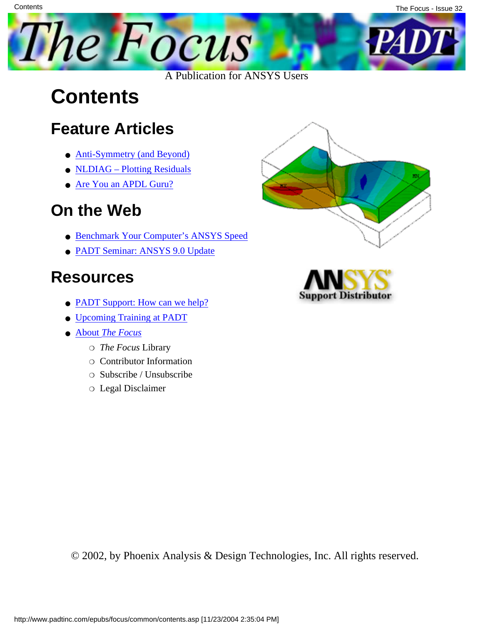

### **Contents**

#### **Feature Articles**

- **[Anti-Symmetry \(and Beyond\)](#page-1-0)**
- [NLDIAG Plotting Residuals](#page-8-0)
- [Are You an APDL Guru?](#page-10-0)

#### **On the Web**

- [Benchmark Your Computer's ANSYS Speed](http://www.padtinc.com/epubs/focus/2004/0032_1022/extra1.htm)
- [PADT Seminar: ANSYS 9.0 Update](http://www.padtinc.com/epubs/focus/2004/0032_1022/extra2.htm)

#### **Resources**

- **PADT Support:** How can we help?
- [Upcoming Training at PADT](#page-12-0)
- **About** *[The Focus](#page-14-0)* 
	- ❍ *The Focus* Library
	- ❍ Contributor Information
	- ❍ Subscribe / Unsubscribe
	- ❍ Legal Disclaimer





© 2002, by Phoenix Analysis & Design Technologies, Inc. All rights reserved.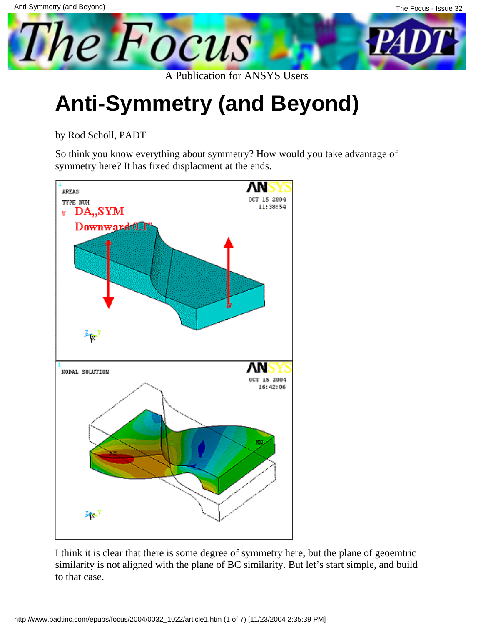<span id="page-1-0"></span>

# **Anti-Symmetry (and Beyond)**

by Rod Scholl, PADT

So think you know everything about symmetry? How would you take advantage of symmetry here? It has fixed displacment at the ends.



I think it is clear that there is some degree of symmetry here, but the plane of geoemtric similarity is not aligned with the plane of BC similarity. But let's start simple, and build to that case.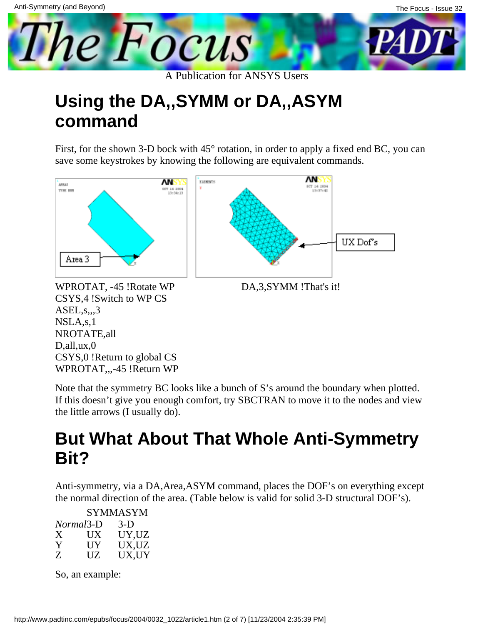

#### **Using the DA,,SYMM or DA,,ASYM command**

First, for the shown 3-D bock with  $45^{\circ}$  rotation, in order to apply a fixed end BC, you can save some keystrokes by knowing the following are equivalent commands.





WPROTAT, -45 !Rotate WP CSYS,4 !Switch to WP CS ASEL,s,,,3 NSLA,s,1 NROTATE,all D,all,ux,0 CSYS,0 !Return to global CS WPROTAT,,,-45 !Return WP

Note that the symmetry BC looks like a bunch of S's around the boundary when plotted. If this doesn't give you enough comfort, try SBCTRAN to move it to the nodes and view the little arrows (I usually do).

#### **But What About That Whole Anti-Symmetry Bit?**

Anti-symmetry, via a DA,Area,ASYM command, places the DOF's on everything except the normal direction of the area. (Table below is valid for solid 3-D structural DOF's).

|           | SYMMASYM     |       |  |  |  |
|-----------|--------------|-------|--|--|--|
| Normal3-D |              | $3-D$ |  |  |  |
| X         | U X          | UY.UZ |  |  |  |
| Y         | $_{\rm{UV}}$ | UX,UZ |  |  |  |
| Z         | UZ.          | UX.UY |  |  |  |

So, an example: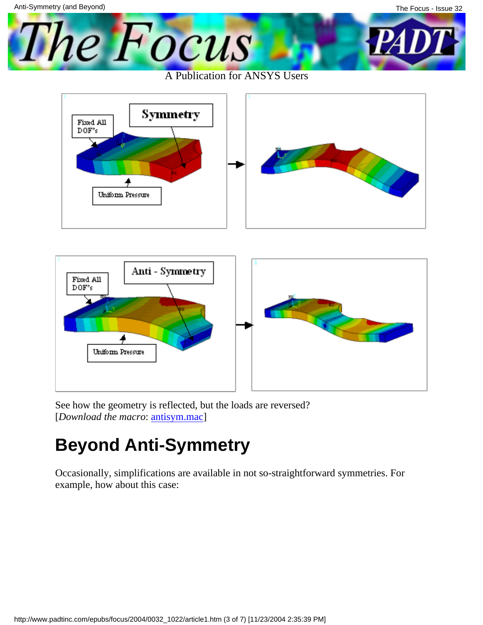



See how the geometry is reflected, but the loads are reversed? [*Download the macro*: [antisym.mac\]](http://www.padtinc.com/epubs/focus/2004/0032_1022/imgs1/antisym.mac)

#### **Beyond Anti-Symmetry**

Occasionally, simplifications are available in not so-straightforward symmetries. For example, how about this case: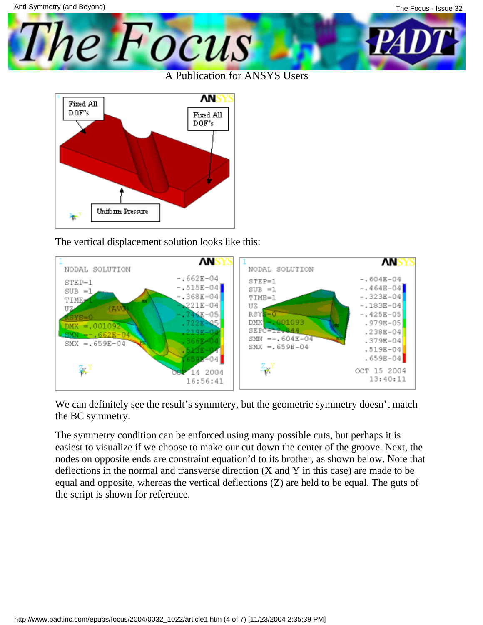

The Focus

The vertical displacement solution looks like this:



We can definitely see the result's symmtery, but the geometric symmetry doesn't match the BC symmetry.

The symmetry condition can be enforced using many possible cuts, but perhaps it is easiest to visualize if we choose to make our cut down the center of the groove. Next, the nodes on opposite ends are constraint equation'd to its brother, as shown below. Note that deflections in the normal and transverse direction (X and Y in this case) are made to be equal and opposite, whereas the vertical deflections (Z) are held to be equal. The guts of the script is shown for reference.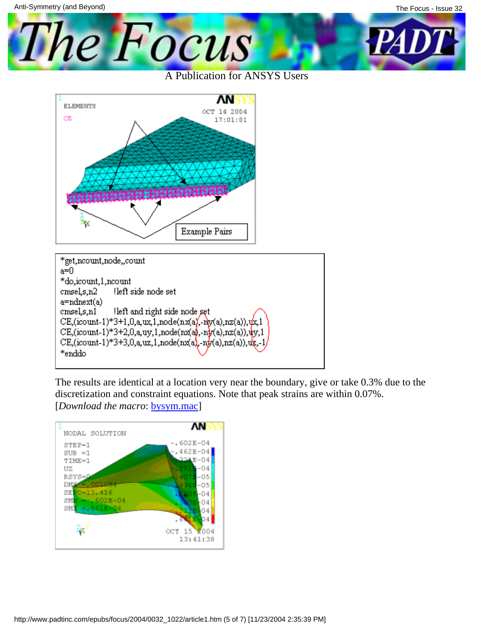The Focus A Publication for ANSYS Users



| *get,ncount,node,,count                                                                                              |  |  |  |  |
|----------------------------------------------------------------------------------------------------------------------|--|--|--|--|
| a=0                                                                                                                  |  |  |  |  |
| *do,icount,1,ncount                                                                                                  |  |  |  |  |
| left side node set<br>cmsel,sn2                                                                                      |  |  |  |  |
| a=ndnext(a)                                                                                                          |  |  |  |  |
| left and right side node set<br>cmsels,n1                                                                            |  |  |  |  |
| CE,(icount-1)*3+1,0,a,ux,1,node(nx(a),-ny(a),nz(a)),ux,1<br>CE,(icount-1)*3+2,0,a,uy,1,node(nx(a),-ny(a),nz(a)),uy,1 |  |  |  |  |
|                                                                                                                      |  |  |  |  |
| CE, (icount-1)*3+3,0,a,uz,1,node(nx(a),-ny(a),nz(a)),uz,-1/                                                          |  |  |  |  |
| *enddo                                                                                                               |  |  |  |  |
|                                                                                                                      |  |  |  |  |

The results are identical at a location very near the boundary, give or take 0.3% due to the discretization and constraint equations. Note that peak strains are within 0.07%. [*Download the macro*: **bysym.mac**]

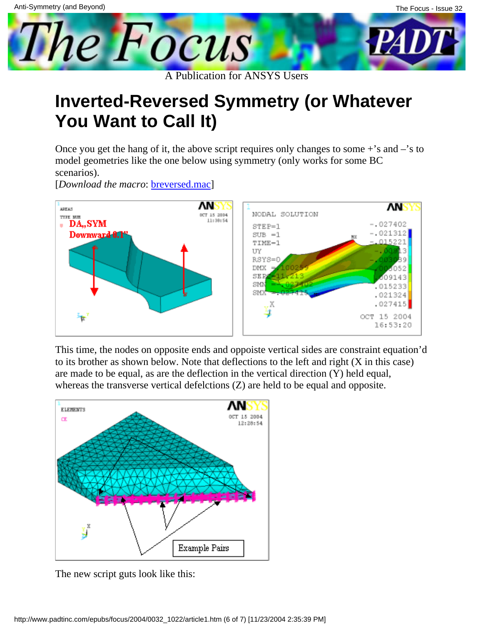#### **Inverted-Reversed Symmetry (or Whatever You Want to Call It)**

Once you get the hang of it, the above script requires only changes to some  $+$ 's and  $-$ 's to model geometries like the one below using symmetry (only works for some BC scenarios).

[*Download the macro*: [breversed.mac](http://www.padtinc.com/epubs/focus/2004/0032_1022/imgs1/breversed.mac)]



This time, the nodes on opposite ends and oppoiste vertical sides are constraint equation'd to its brother as shown below. Note that deflections to the left and right (X in this case) are made to be equal, as are the deflection in the vertical direction (Y) held equal, whereas the transverse vertical defelctions (Z) are held to be equal and opposite.



The new script guts look like this: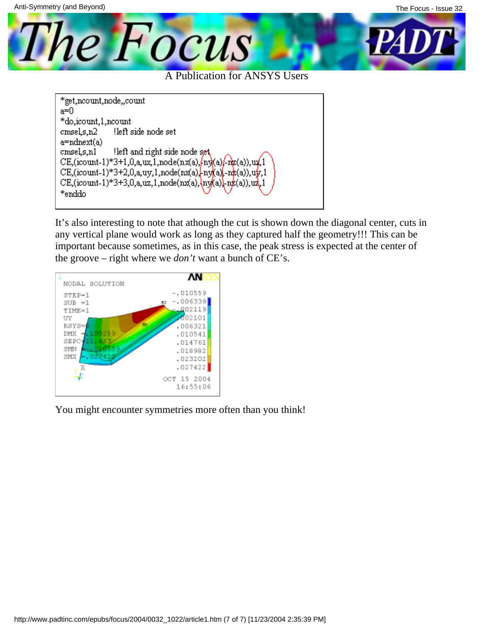

A Publication for ANSYS Users

```
*get,ncount,node,,count
a=0
*do,icount,1,ncount
cmsels,n2
              left side node set
a=ndnext(a)
cmsel,s,n1
               left and right side node set
CE, (icount-1)*3+1,0,a,ux,1,node(nx(a),ln(x/a)/ln(z/a), ux,1
CE,(icount-1)*3+2,0,a,uy,1,node(nx(a), ny(a), nx(a)),uy,1
CE,(icount-1)*3+3,0,a,uz,1,node(nx(a), \ny(a)), nz(a)), uz,1
*enddo
```
It's also interesting to note that athough the cut is shown down the diagonal center, cuts in any vertical plane would work as long as they captured half the geometry!!! This can be important because sometimes, as in this case, the peak stress is expected at the center of the groove – right where we *don't* want a bunch of CE's.



You might encounter symmetries more often than you think!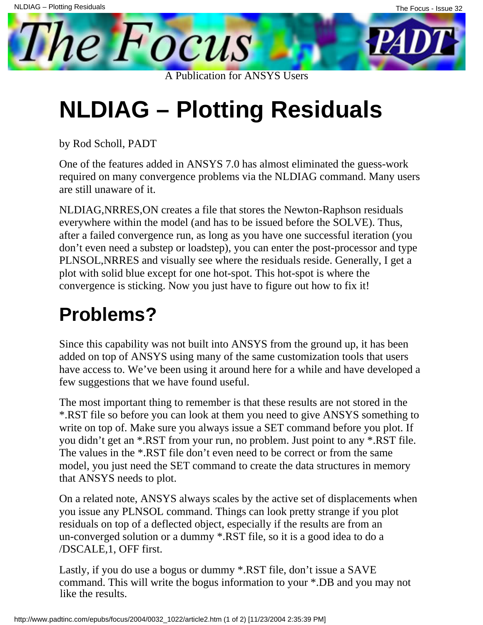# **NLDIAG – Plotting Residuals**

A Publication for ANSYS Users

by Rod Scholl, PADT

<span id="page-8-0"></span>**The Focus** 

One of the features added in ANSYS 7.0 has almost eliminated the guess-work required on many convergence problems via the NLDIAG command. Many users are still unaware of it.

NLDIAG,NRRES,ON creates a file that stores the Newton-Raphson residuals everywhere within the model (and has to be issued before the SOLVE). Thus, after a failed convergence run, as long as you have one successful iteration (you don't even need a substep or loadstep), you can enter the post-processor and type PLNSOL,NRRES and visually see where the residuals reside. Generally, I get a plot with solid blue except for one hot-spot. This hot-spot is where the convergence is sticking. Now you just have to figure out how to fix it!

#### **Problems?**

Since this capability was not built into ANSYS from the ground up, it has been added on top of ANSYS using many of the same customization tools that users have access to. We've been using it around here for a while and have developed a few suggestions that we have found useful.

The most important thing to remember is that these results are not stored in the \*.RST file so before you can look at them you need to give ANSYS something to write on top of. Make sure you always issue a SET command before you plot. If you didn't get an \*.RST from your run, no problem. Just point to any \*.RST file. The values in the \*.RST file don't even need to be correct or from the same model, you just need the SET command to create the data structures in memory that ANSYS needs to plot.

On a related note, ANSYS always scales by the active set of displacements when you issue any PLNSOL command. Things can look pretty strange if you plot residuals on top of a deflected object, especially if the results are from an un-converged solution or a dummy \*.RST file, so it is a good idea to do a /DSCALE,1, OFF first.

Lastly, if you do use a bogus or dummy \*.RST file, don't issue a SAVE command. This will write the bogus information to your \*.DB and you may not like the results.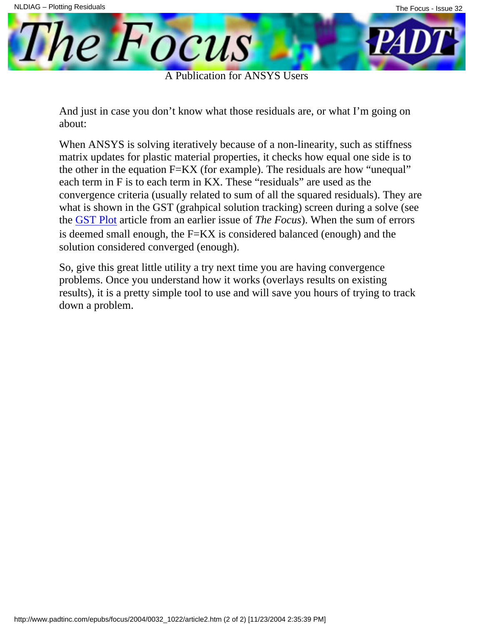**The Focus** 

A Publication for ANSYS Users

And just in case you don't know what those residuals are, or what I'm going on about:

When ANSYS is solving iteratively because of a non-linearity, such as stiffness matrix updates for plastic material properties, it checks how equal one side is to the other in the equation F=KX (for example). The residuals are how "unequal" each term in F is to each term in KX. These "residuals" are used as the convergence criteria (usually related to sum of all the squared residuals). They are what is shown in the GST (grahpical solution tracking) screen during a solve (see the GST Plot article from an earlier issue of *The Focus*). When the sum of errors is d[eemed sm](http://www.padtinc.com/epubs/focus/common/focus.asp?I=8&P=article2.htm)all enough, the F=KX is considered balanced (enough) and the solution considered converged (enough).

So, give this great little utility a try next time you are having convergence problems. Once you understand how it works (overlays results on existing results), it is a pretty simple tool to use and will save you hours of trying to track down a problem.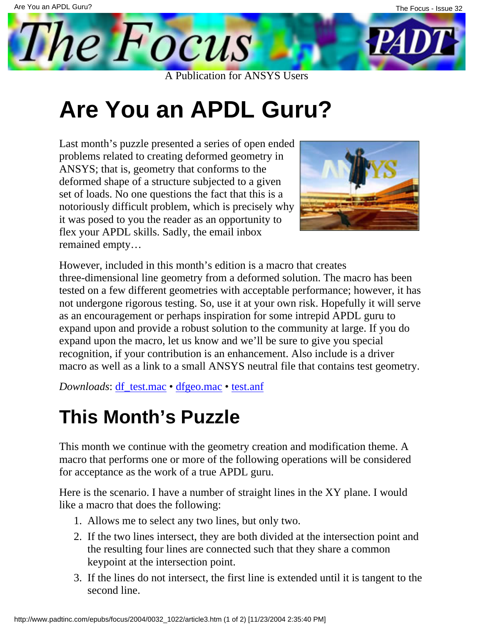# **Are You an APDL Guru?**

<span id="page-10-0"></span>The Focus

A Publication for ANSYS Users

Last month's puzzle presented a series of open ended problems related to creating deformed geometry in ANSYS; that is, geometry that conforms to the deformed shape of a structure subjected to a given set of loads. No one questions the fact that this is a notoriously difficult problem, which is precisely why it was posed to you the reader as an opportunity to flex your APDL skills. Sadly, the email inbox remained empty…



However, included in this month's edition is a macro that creates three-dimensional line geometry from a deformed solution. The macro has been tested on a few different geometries with acceptable performance; however, it has not undergone rigorous testing. So, use it at your own risk. Hopefully it will serve as an encouragement or perhaps inspiration for some intrepid APDL guru to expand upon and provide a robust solution to the community at large. If you do expand upon the macro, let us know and we'll be sure to give you special recognition, if your contribution is an enhancement. Also include is a driver macro as well as a link to a small ANSYS neutral file that contains test geometry.

*Downloads*: [df\\_test.mac](http://www.padtinc.com/epubs/focus/2004/0032_1022/imgs3/df_test.mac.txt) • [dfgeo.mac](http://www.padtinc.com/epubs/focus/2004/0032_1022/imgs3/dfgeo.mac.txt) • [test.anf](http://www.padtinc.com/epubs/focus/2004/0032_1022/imgs3/test.anf.txt)

### **This Month's Puzzle**

This month we continue with the geometry creation and modification theme. A macro that performs one or more of the following operations will be considered for acceptance as the work of a true APDL guru.

Here is the scenario. I have a number of straight lines in the XY plane. I would like a macro that does the following:

- 1. Allows me to select any two lines, but only two.
- 2. If the two lines intersect, they are both divided at the intersection point and the resulting four lines are connected such that they share a common keypoint at the intersection point.
- If the lines do not intersect, the first line is extended until it is tangent to the 3. second line.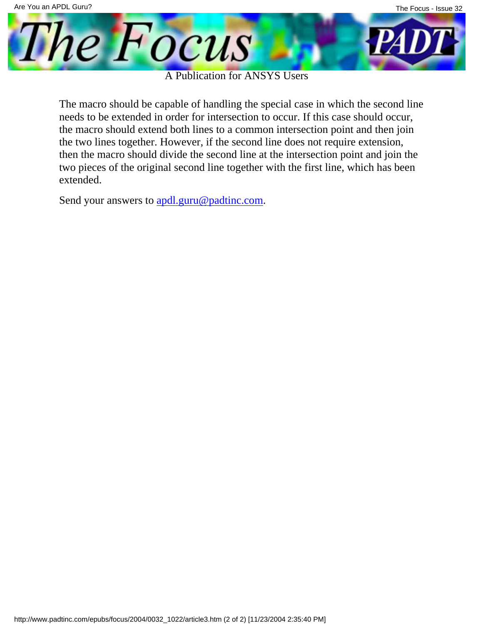

A Publication for ANSYS Users

The macro should be capable of handling the special case in which the second line needs to be extended in order for intersection to occur. If this case should occur, the macro should extend both lines to a common intersection point and then join the two lines together. However, if the second line does not require extension, then the macro should divide the second line at the intersection point and join the two pieces of the original second line together with the first line, which has been extended.

Send your answers to [apdl.guru@padtinc.com.](mailto:apdl.guru@padtinc.com?subject=Guru%20Contest%20#4)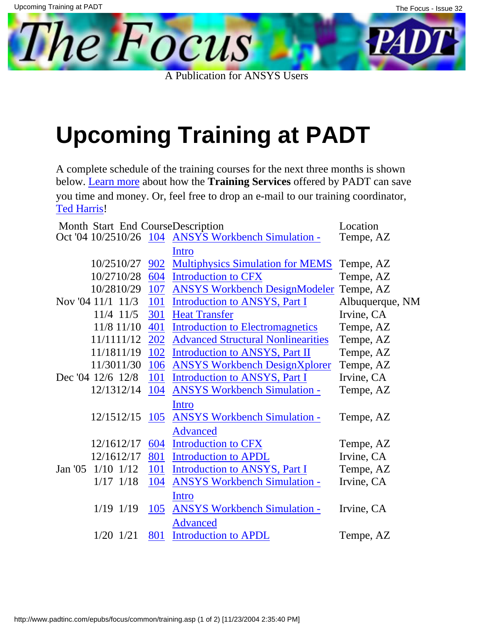<span id="page-12-0"></span>The Focus

A Publication for ANSYS Users

# **Upcoming Training at PADT**

A complete schedule of the training courses for the next three months is shown [below. Lear](mailto:ted.harris@padtinc.com)n more about how the **Training Services** offered by PADT can save you time and money. Or, feel free to drop an e-mail to our training coordinator, Ted Harris!

| Month Start End CourseDescription |                   |            | Location                                            |                 |
|-----------------------------------|-------------------|------------|-----------------------------------------------------|-----------------|
|                                   |                   |            | Oct '04 10/2510/26 104 ANSYS Workbench Simulation - | Tempe, AZ       |
|                                   |                   |            | Intro                                               |                 |
|                                   | 10/2510/27        | 902        | <b>Multiphysics Simulation for MEMS</b>             | Tempe, AZ       |
|                                   | 10/2710/28        | 604        | <b>Introduction to CFX</b>                          | Tempe, AZ       |
|                                   | 10/2810/29        | 107        | <b>ANSYS Workbench DesignModeler</b>                | Tempe, AZ       |
|                                   | Nov '04 11/1 11/3 | 101        | Introduction to ANSYS, Part I                       | Albuquerque, NM |
|                                   | 11/4 11/5         | 301        | <b>Heat Transfer</b>                                | Irvine, CA      |
|                                   | 11/8 11/10        | 401        | <b>Introduction to Electromagnetics</b>             | Tempe, AZ       |
|                                   | 11/1111/12        | <b>202</b> | <b>Advanced Structural Nonlinearities</b>           | Tempe, AZ       |
|                                   | 11/1811/19        | 102        | <b>Introduction to ANSYS, Part II</b>               | Tempe, AZ       |
|                                   | 11/3011/30        | 106        | <b>ANSYS Workbench DesignXplorer</b>                | Tempe, AZ       |
|                                   | Dec '04 12/6 12/8 | 101        | Introduction to ANSYS, Part I                       | Irvine, CA      |
|                                   | 12/1312/14        | 104        | <b>ANSYS Workbench Simulation -</b>                 | Tempe, AZ       |
|                                   |                   |            | Intro                                               |                 |
|                                   | 12/1512/15        | 105        | <b>ANSYS Workbench Simulation -</b>                 | Tempe, AZ       |
|                                   |                   |            | <b>Advanced</b>                                     |                 |
|                                   | 12/1612/17        | 604        | <b>Introduction to CFX</b>                          | Tempe, AZ       |
|                                   | 12/1612/17        | 801        | <b>Introduction to APDL</b>                         | Irvine, CA      |
| Jan $'05$                         | $1/10$ $1/12$     | <b>101</b> | <b>Introduction to ANSYS, Part I</b>                | Tempe, AZ       |
|                                   | $1/17$ $1/18$     | 104        | <b>ANSYS Workbench Simulation -</b>                 | Irvine, CA      |
|                                   |                   |            | <u>Intro</u>                                        |                 |
|                                   | $1/19$ $1/19$     | 105        | <b>ANSYS Workbench Simulation -</b>                 | Irvine, CA      |
|                                   |                   |            | <b>Advanced</b>                                     |                 |
|                                   | $1/20$ $1/21$     | 801        | <b>Introduction to APDL</b>                         | Tempe, AZ       |
|                                   |                   |            |                                                     |                 |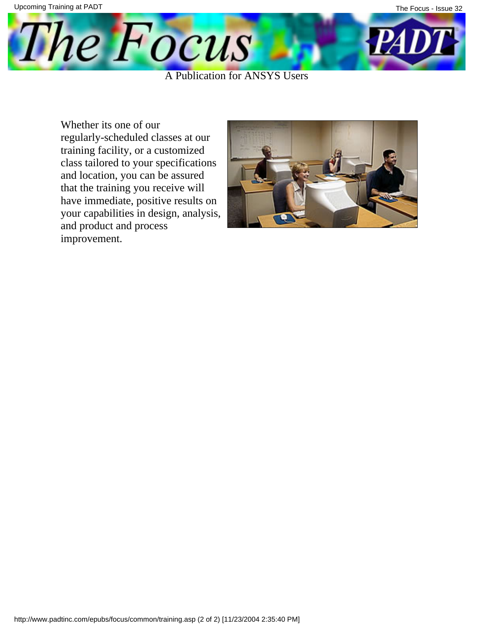

Whether it s one of our regularly-scheduled classes at our training facility, or a customized class tailored to your specifications and location, you can be assured that the training you receive will have immediate, positive results on your capabilities in design, analysis, and product and process improvement.